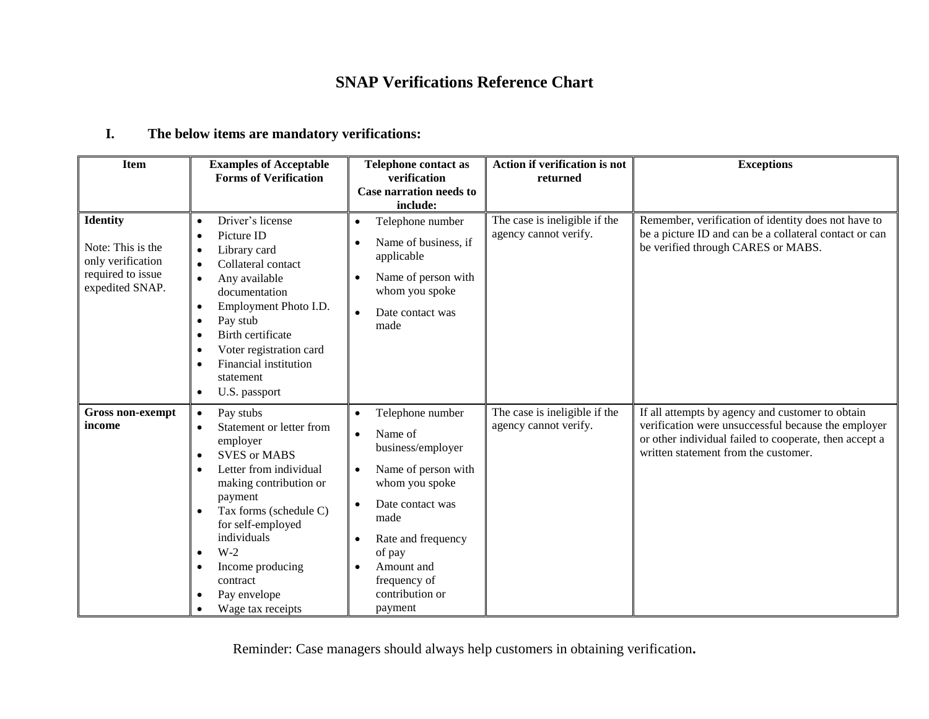## **SNAP Verifications Reference Chart**

## **I. The below items are mandatory verifications:**

| <b>Item</b>                                                                                       | <b>Examples of Acceptable</b><br><b>Forms of Verification</b>                                                                                                                                                                                                                                                                                                           | <b>Telephone contact as</b><br>verification<br>Case narration needs to<br>include:                                                                                                                                                                                                              | <b>Action if verification is not</b><br>returned       | <b>Exceptions</b>                                                                                                                                                                                         |
|---------------------------------------------------------------------------------------------------|-------------------------------------------------------------------------------------------------------------------------------------------------------------------------------------------------------------------------------------------------------------------------------------------------------------------------------------------------------------------------|-------------------------------------------------------------------------------------------------------------------------------------------------------------------------------------------------------------------------------------------------------------------------------------------------|--------------------------------------------------------|-----------------------------------------------------------------------------------------------------------------------------------------------------------------------------------------------------------|
| <b>Identity</b><br>Note: This is the<br>only verification<br>required to issue<br>expedited SNAP. | Driver's license<br>$\bullet$<br>Picture ID<br>Library card<br>$\bullet$<br>Collateral contact<br>$\bullet$<br>Any available<br>$\bullet$<br>documentation<br>Employment Photo I.D.<br>$\bullet$<br>Pay stub<br>$\bullet$<br>Birth certificate<br>Voter registration card<br>$\bullet$<br>Financial institution<br>$\bullet$<br>statement<br>U.S. passport<br>$\bullet$ | Telephone number<br>$\bullet$<br>Name of business, if<br>$\bullet$<br>applicable<br>Name of person with<br>$\bullet$<br>whom you spoke<br>Date contact was<br>$\bullet$<br>made                                                                                                                 | The case is ineligible if the<br>agency cannot verify. | Remember, verification of identity does not have to<br>be a picture ID and can be a collateral contact or can<br>be verified through CARES or MABS.                                                       |
| <b>Gross non-exempt</b><br>income                                                                 | Pay stubs<br>$\bullet$<br>Statement or letter from<br>$\bullet$<br>employer<br><b>SVES or MABS</b><br>$\bullet$<br>Letter from individual<br>making contribution or<br>payment<br>Tax forms (schedule C)<br>$\bullet$<br>for self-employed<br>individuals<br>$W-2$<br>$\bullet$<br>Income producing<br>$\bullet$<br>contract<br>Pay envelope<br>Wage tax receipts       | Telephone number<br>$\bullet$<br>Name of<br>$\bullet$<br>business/employer<br>Name of person with<br>$\bullet$<br>whom you spoke<br>Date contact was<br>$\bullet$<br>made<br>Rate and frequency<br>$\bullet$<br>of pay<br>Amount and<br>$\bullet$<br>frequency of<br>contribution or<br>payment | The case is ineligible if the<br>agency cannot verify. | If all attempts by agency and customer to obtain<br>verification were unsuccessful because the employer<br>or other individual failed to cooperate, then accept a<br>written statement from the customer. |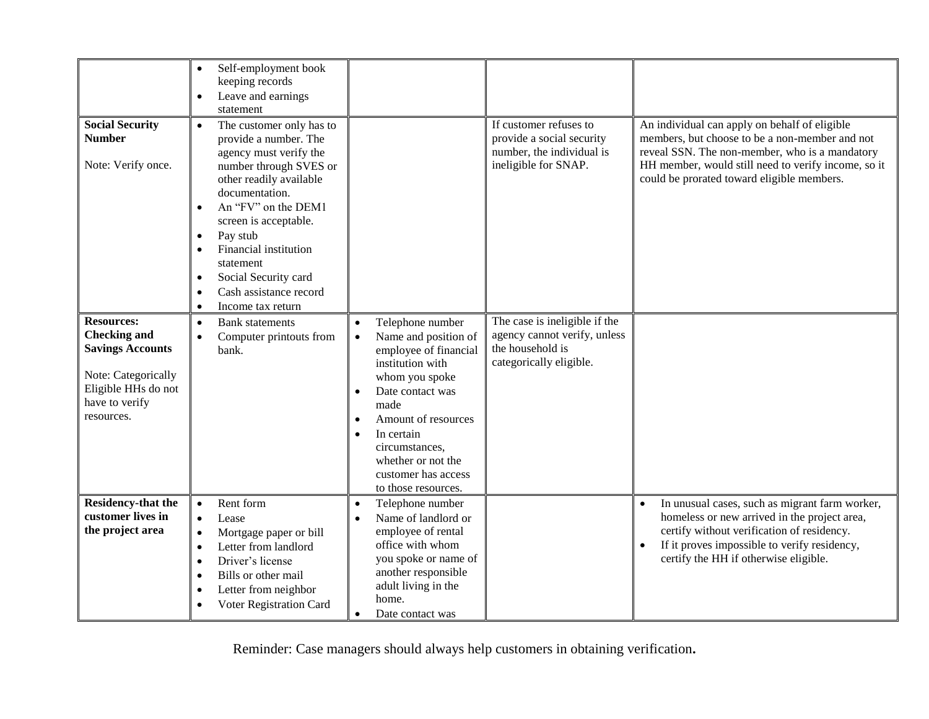|                                                                                                                                                   | Self-employment book<br>$\bullet$<br>keeping records<br>Leave and earnings<br>$\bullet$<br>statement                                                                                                                                                                                                                                                                                         |                                                                                                                                                                                                                                                                                                                    |                                                                                                              |                                                                                                                                                                                                                                                        |
|---------------------------------------------------------------------------------------------------------------------------------------------------|----------------------------------------------------------------------------------------------------------------------------------------------------------------------------------------------------------------------------------------------------------------------------------------------------------------------------------------------------------------------------------------------|--------------------------------------------------------------------------------------------------------------------------------------------------------------------------------------------------------------------------------------------------------------------------------------------------------------------|--------------------------------------------------------------------------------------------------------------|--------------------------------------------------------------------------------------------------------------------------------------------------------------------------------------------------------------------------------------------------------|
| <b>Social Security</b><br><b>Number</b><br>Note: Verify once.                                                                                     | The customer only has to<br>$\bullet$<br>provide a number. The<br>agency must verify the<br>number through SVES or<br>other readily available<br>documentation.<br>An "FV" on the DEM1<br>screen is acceptable.<br>Pay stub<br>$\bullet$<br>Financial institution<br>$\bullet$<br>statement<br>Social Security card<br>$\bullet$<br>Cash assistance record<br>Income tax return<br>$\bullet$ |                                                                                                                                                                                                                                                                                                                    | If customer refuses to<br>provide a social security<br>number, the individual is<br>ineligible for SNAP.     | An individual can apply on behalf of eligible<br>members, but choose to be a non-member and not<br>reveal SSN. The non-member, who is a mandatory<br>HH member, would still need to verify income, so it<br>could be prorated toward eligible members. |
| <b>Resources:</b><br><b>Checking and</b><br><b>Savings Accounts</b><br>Note: Categorically<br>Eligible HHs do not<br>have to verify<br>resources. | <b>Bank</b> statements<br>$\bullet$<br>Computer printouts from<br>$\bullet$<br>bank.                                                                                                                                                                                                                                                                                                         | Telephone number<br>Name and position of<br>$\bullet$<br>employee of financial<br>institution with<br>whom you spoke<br>Date contact was<br>$\bullet$<br>made<br>Amount of resources<br>$\bullet$<br>In certain<br>$\bullet$<br>circumstances,<br>whether or not the<br>customer has access<br>to those resources. | The case is ineligible if the<br>agency cannot verify, unless<br>the household is<br>categorically eligible. |                                                                                                                                                                                                                                                        |
| <b>Residency-that the</b><br>customer lives in<br>the project area                                                                                | Rent form<br>$\bullet$<br>Lease<br>$\bullet$<br>Mortgage paper or bill<br>$\bullet$<br>Letter from landlord<br>$\bullet$<br>Driver's license<br>$\bullet$<br>Bills or other mail<br>$\bullet$<br>Letter from neighbor<br>Voter Registration Card<br>$\bullet$                                                                                                                                | Telephone number<br>$\bullet$<br>Name of landlord or<br>employee of rental<br>office with whom<br>you spoke or name of<br>another responsible<br>adult living in the<br>home.<br>Date contact was                                                                                                                  |                                                                                                              | In unusual cases, such as migrant farm worker,<br>homeless or new arrived in the project area,<br>certify without verification of residency.<br>If it proves impossible to verify residency,<br>certify the HH if otherwise eligible.                  |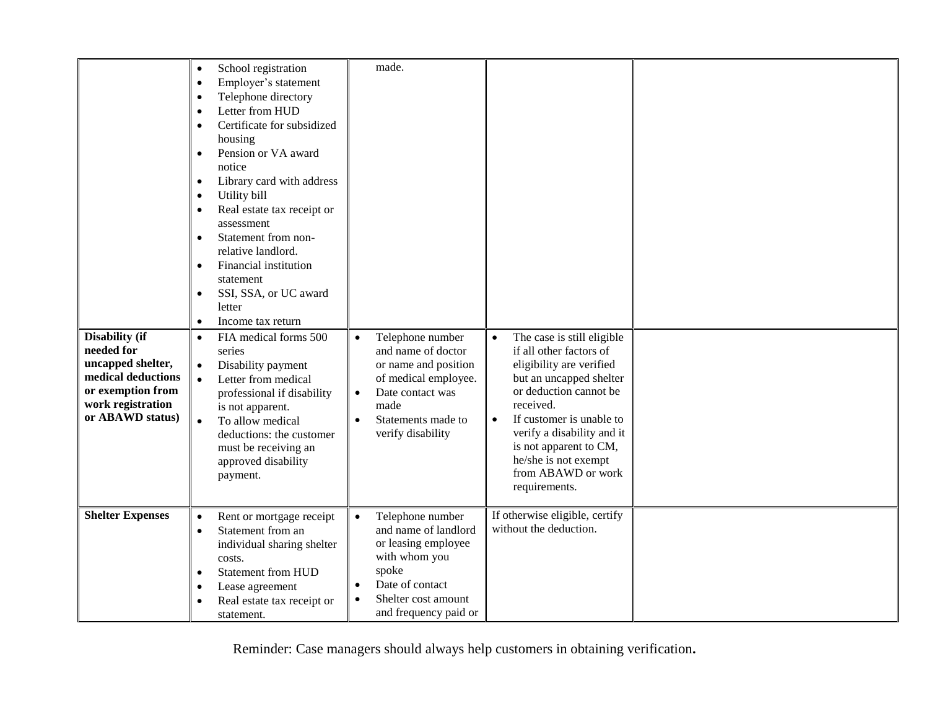| <b>Disability</b> (if<br>needed for<br>uncapped shelter,<br>medical deductions<br>or exemption from<br>work registration<br>or ABAWD status) | School registration<br>$\bullet$<br>Employer's statement<br>$\bullet$<br>Telephone directory<br>$\bullet$<br>Letter from HUD<br>$\bullet$<br>Certificate for subsidized<br>$\bullet$<br>housing<br>Pension or VA award<br>$\bullet$<br>notice<br>Library card with address<br>$\bullet$<br>Utility bill<br>$\bullet$<br>Real estate tax receipt or<br>$\bullet$<br>assessment<br>Statement from non-<br>$\bullet$<br>relative landlord.<br>Financial institution<br>$\bullet$<br>statement<br>SSI, SSA, or UC award<br>$\bullet$<br>letter<br>Income tax return<br>$\bullet$<br>FIA medical forms 500<br>$\bullet$<br>series<br>Disability payment<br>$\bullet$<br>Letter from medical<br>$\bullet$<br>professional if disability<br>is not apparent.<br>To allow medical<br>$\bullet$<br>deductions: the customer<br>must be receiving an<br>approved disability<br>payment. | made.<br>Telephone number<br>and name of doctor<br>or name and position<br>of medical employee.<br>Date contact was<br>$\bullet$<br>made<br>Statements made to<br>$\bullet$<br>verify disability    | The case is still eligible<br>$\bullet$<br>if all other factors of<br>eligibility are verified<br>but an uncapped shelter<br>or deduction cannot be<br>received.<br>If customer is unable to<br>$\bullet$<br>verify a disability and it<br>is not apparent to CM,<br>he/she is not exempt<br>from ABAWD or work<br>requirements. |  |
|----------------------------------------------------------------------------------------------------------------------------------------------|-------------------------------------------------------------------------------------------------------------------------------------------------------------------------------------------------------------------------------------------------------------------------------------------------------------------------------------------------------------------------------------------------------------------------------------------------------------------------------------------------------------------------------------------------------------------------------------------------------------------------------------------------------------------------------------------------------------------------------------------------------------------------------------------------------------------------------------------------------------------------------|-----------------------------------------------------------------------------------------------------------------------------------------------------------------------------------------------------|----------------------------------------------------------------------------------------------------------------------------------------------------------------------------------------------------------------------------------------------------------------------------------------------------------------------------------|--|
| <b>Shelter Expenses</b>                                                                                                                      | Rent or mortgage receipt<br>$\bullet$<br>Statement from an<br>$\bullet$<br>individual sharing shelter<br>costs.<br><b>Statement from HUD</b><br>$\bullet$<br>Lease agreement<br>$\bullet$<br>Real estate tax receipt or<br>$\bullet$<br>statement.                                                                                                                                                                                                                                                                                                                                                                                                                                                                                                                                                                                                                            | Telephone number<br>$\bullet$<br>and name of landlord<br>or leasing employee<br>with whom you<br>spoke<br>Date of contact<br>$\bullet$<br>Shelter cost amount<br>$\bullet$<br>and frequency paid or | If otherwise eligible, certify<br>without the deduction.                                                                                                                                                                                                                                                                         |  |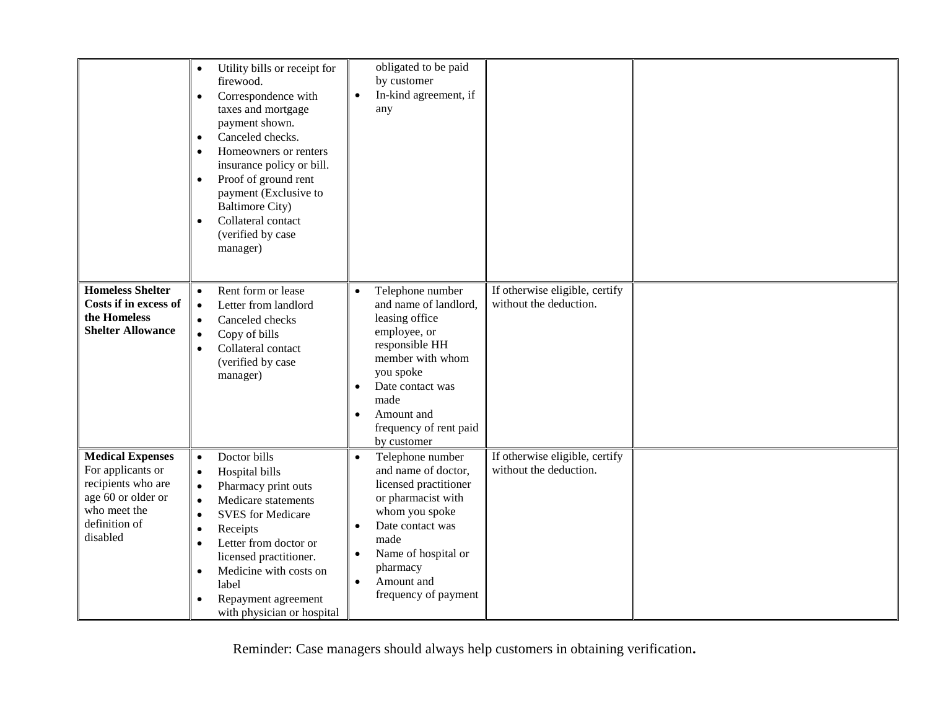|                                                                                                                                       | Utility bills or receipt for<br>$\bullet$<br>firewood.<br>Correspondence with<br>$\bullet$<br>taxes and mortgage<br>payment shown.<br>Canceled checks.<br>$\bullet$<br>Homeowners or renters<br>$\bullet$<br>insurance policy or bill.<br>Proof of ground rent<br>$\bullet$<br>payment (Exclusive to<br><b>Baltimore City)</b><br>Collateral contact<br>$\bullet$<br>(verified by case<br>manager) | obligated to be paid<br>by customer<br>In-kind agreement, if<br>$\bullet$<br>any                                                                                                                                                                                  |                                                          |  |
|---------------------------------------------------------------------------------------------------------------------------------------|----------------------------------------------------------------------------------------------------------------------------------------------------------------------------------------------------------------------------------------------------------------------------------------------------------------------------------------------------------------------------------------------------|-------------------------------------------------------------------------------------------------------------------------------------------------------------------------------------------------------------------------------------------------------------------|----------------------------------------------------------|--|
| <b>Homeless Shelter</b><br>Costs if in excess of<br>the Homeless<br><b>Shelter Allowance</b>                                          | Rent form or lease<br>$\bullet$<br>Letter from landlord<br>$\bullet$<br>Canceled checks<br>$\bullet$<br>Copy of bills<br>$\bullet$<br>Collateral contact<br>$\bullet$<br>(verified by case<br>manager)                                                                                                                                                                                             | Telephone number<br>$\bullet$<br>and name of landlord,<br>leasing office<br>employee, or<br>responsible HH<br>member with whom<br>you spoke<br>Date contact was<br>$\bullet$<br>made<br>Amount and<br>$\bullet$<br>frequency of rent paid<br>by customer          | If otherwise eligible, certify<br>without the deduction. |  |
| <b>Medical Expenses</b><br>For applicants or<br>recipients who are<br>age 60 or older or<br>who meet the<br>definition of<br>disabled | Doctor bills<br>$\bullet$<br>Hospital bills<br>$\bullet$<br>Pharmacy print outs<br>$\bullet$<br>Medicare statements<br>$\bullet$<br><b>SVES</b> for Medicare<br>$\bullet$<br>Receipts<br>$\bullet$<br>Letter from doctor or<br>$\bullet$<br>licensed practitioner.<br>Medicine with costs on<br>$\bullet$<br>label<br>Repayment agreement<br>with physician or hospital                            | Telephone number<br>$\bullet$<br>and name of doctor,<br>licensed practitioner<br>or pharmacist with<br>whom you spoke<br>Date contact was<br>$\bullet$<br>made<br>Name of hospital or<br>$\bullet$<br>pharmacy<br>Amount and<br>$\bullet$<br>frequency of payment | If otherwise eligible, certify<br>without the deduction. |  |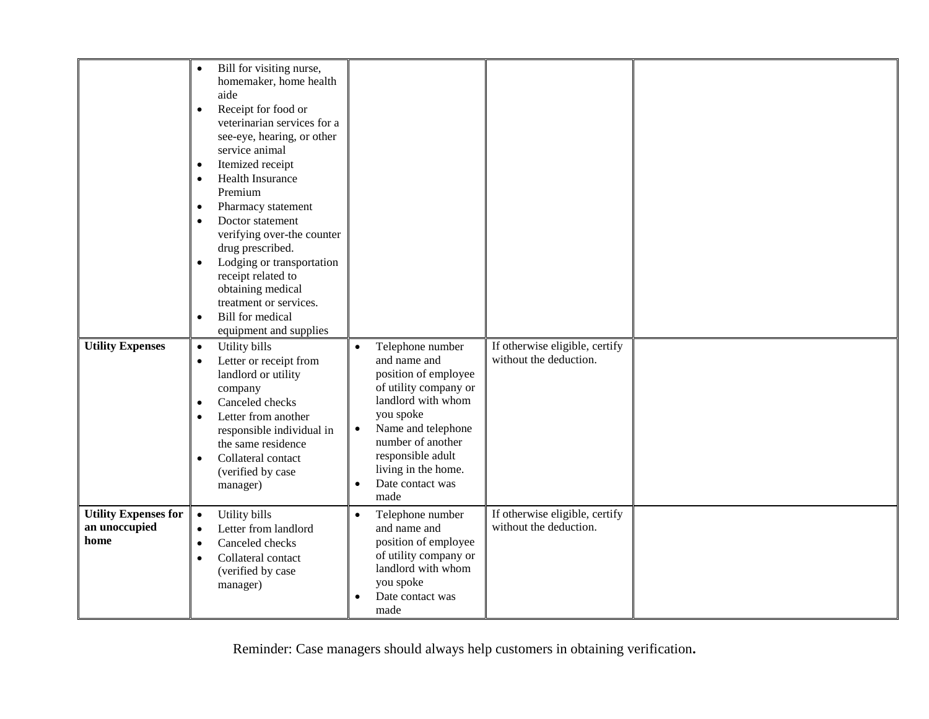| <b>Utility Expenses</b>                              | Bill for visiting nurse,<br>$\bullet$<br>homemaker, home health<br>aide<br>Receipt for food or<br>$\bullet$<br>veterinarian services for a<br>see-eye, hearing, or other<br>service animal<br>Itemized receipt<br>$\bullet$<br><b>Health Insurance</b><br>$\bullet$<br>Premium<br>Pharmacy statement<br>$\bullet$<br>Doctor statement<br>$\bullet$<br>verifying over-the counter<br>drug prescribed.<br>Lodging or transportation<br>$\bullet$<br>receipt related to<br>obtaining medical<br>treatment or services.<br><b>Bill</b> for medical<br>$\bullet$<br>equipment and supplies<br>Utility bills | Telephone number                                                                                                                                                                                                                                           | If otherwise eligible, certify                           |  |
|------------------------------------------------------|--------------------------------------------------------------------------------------------------------------------------------------------------------------------------------------------------------------------------------------------------------------------------------------------------------------------------------------------------------------------------------------------------------------------------------------------------------------------------------------------------------------------------------------------------------------------------------------------------------|------------------------------------------------------------------------------------------------------------------------------------------------------------------------------------------------------------------------------------------------------------|----------------------------------------------------------|--|
|                                                      | $\bullet$<br>Letter or receipt from<br>$\bullet$<br>landlord or utility<br>company<br>Canceled checks<br>$\bullet$<br>Letter from another<br>$\bullet$<br>responsible individual in<br>the same residence<br>Collateral contact<br>$\bullet$<br>(verified by case<br>manager)                                                                                                                                                                                                                                                                                                                          | $\bullet$<br>and name and<br>position of employee<br>of utility company or<br>landlord with whom<br>you spoke<br>Name and telephone<br>$\bullet$<br>number of another<br>responsible adult<br>living in the home.<br>Date contact was<br>$\bullet$<br>made | without the deduction.                                   |  |
| <b>Utility Expenses for</b><br>an unoccupied<br>home | Utility bills<br>$\bullet$<br>Letter from landlord<br>$\bullet$<br>Canceled checks<br>$\bullet$<br>Collateral contact<br>$\bullet$<br>(verified by case<br>manager)                                                                                                                                                                                                                                                                                                                                                                                                                                    | $\bullet$<br>Telephone number<br>and name and<br>position of employee<br>of utility company or<br>landlord with whom<br>you spoke<br>Date contact was<br>$\bullet$<br>made                                                                                 | If otherwise eligible, certify<br>without the deduction. |  |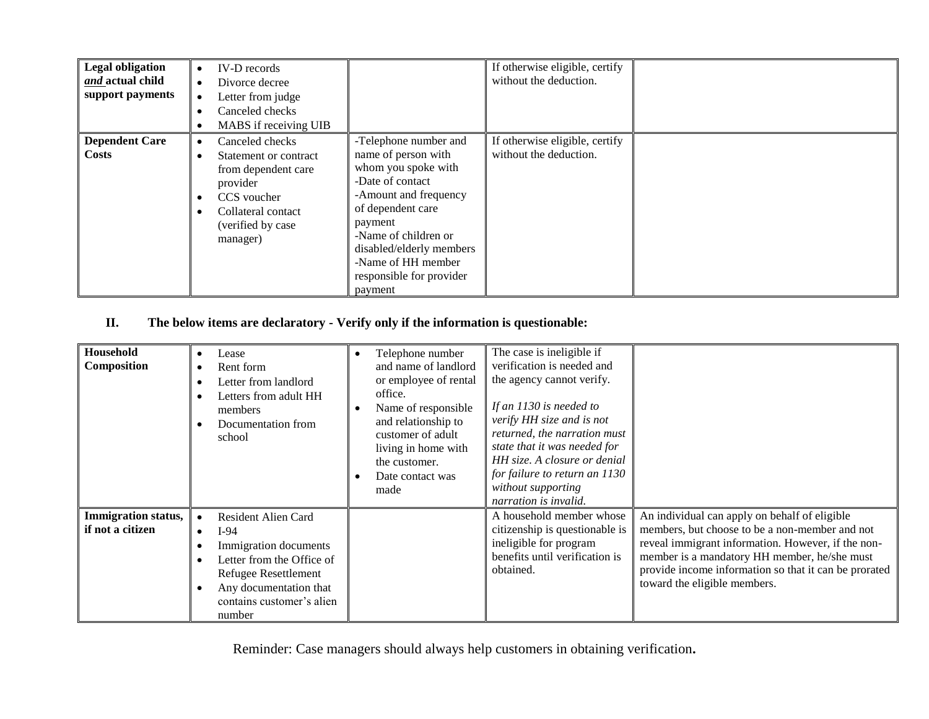| <b>Legal obligation</b><br>and actual child<br>support payments | IV-D records<br>$\bullet$<br>Divorce decree<br>$\bullet$<br>Letter from judge<br>Canceled checks<br>MABS if receiving UIB                          |                                                                                                                                                                                                                                                                   | If otherwise eligible, certify<br>without the deduction. |  |
|-----------------------------------------------------------------|----------------------------------------------------------------------------------------------------------------------------------------------------|-------------------------------------------------------------------------------------------------------------------------------------------------------------------------------------------------------------------------------------------------------------------|----------------------------------------------------------|--|
| <b>Dependent Care</b><br>Costs                                  | Canceled checks<br>Statement or contract<br>from dependent care<br>provider<br>CCS voucher<br>Collateral contact<br>(verified by case)<br>manager) | -Telephone number and<br>name of person with<br>whom you spoke with<br>-Date of contact<br>-Amount and frequency<br>of dependent care<br>payment<br>-Name of children or<br>disabled/elderly members<br>-Name of HH member<br>responsible for provider<br>payment | If otherwise eligible, certify<br>without the deduction. |  |

## **II. The below items are declaratory - Verify only if the information is questionable:**

| Household<br>Composition                       | Lease<br>Rent form<br>Letter from landlord<br>Letters from adult HH<br>members<br>Documentation from<br>school                                                                                                | Telephone number<br>and name of landlord<br>or employee of rental<br>office.<br>Name of responsible<br>and relationship to<br>customer of adult<br>living in home with<br>the customer.<br>Date contact was<br>made | The case is ineligible if<br>verification is needed and<br>the agency cannot verify.<br>If an $1130$ is needed to<br>verify HH size and is not<br>returned, the narration must<br>state that it was needed for<br>HH size. A closure or denial<br>for failure to return an 1130<br>without supporting<br>narration is invalid. |                                                                                                                                                                                                                                                                                                |
|------------------------------------------------|---------------------------------------------------------------------------------------------------------------------------------------------------------------------------------------------------------------|---------------------------------------------------------------------------------------------------------------------------------------------------------------------------------------------------------------------|--------------------------------------------------------------------------------------------------------------------------------------------------------------------------------------------------------------------------------------------------------------------------------------------------------------------------------|------------------------------------------------------------------------------------------------------------------------------------------------------------------------------------------------------------------------------------------------------------------------------------------------|
| <b>Immigration status,</b><br>if not a citizen | <b>Resident Alien Card</b><br>$\bullet$<br>$I-94$<br>$\bullet$<br>Immigration documents<br>Letter from the Office of<br>Refugee Resettlement<br>Any documentation that<br>contains customer's alien<br>number |                                                                                                                                                                                                                     | A household member whose<br>citizenship is questionable is<br>ineligible for program<br>benefits until verification is<br>obtained.                                                                                                                                                                                            | An individual can apply on behalf of eligible<br>members, but choose to be a non-member and not<br>reveal immigrant information. However, if the non-<br>member is a mandatory HH member, he/she must<br>provide income information so that it can be prorated<br>toward the eligible members. |